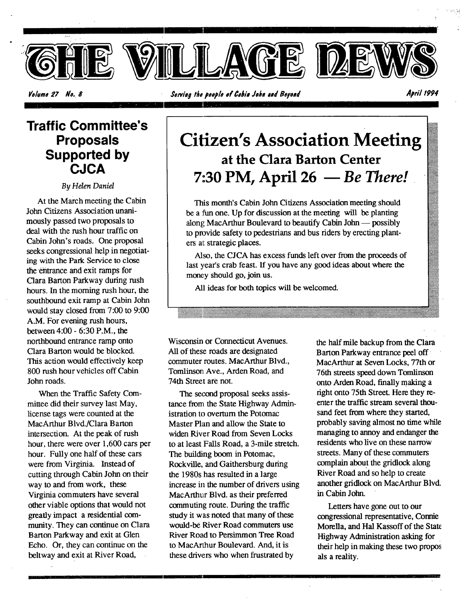

Volume 27 No. 8

April 1994

## **Traffic Committee's Proposals Supported by CJCA**

By Helen Daniel

At the March meeting the Cabin John Citizens Association unanimously passed two proposals to deal with the rush hour traffic on Cabin John's roads. One proposal seeks congressional help in negotiating with the Park Service to close the entrance and exit ramps for Clara Barton Parkway during rush hours. In the morning rush hour, the southbound exit ramp at Cabin John would stay closed from 7:00 to 9:00 A.M. For evening rush hours, between 4:00 - 6:30 P.M., the northbound entrance ramp onto Clara Barton would be blocked. This action would effectively keep 800 rush hour vehicles off Cabin John roads.

When the Traffic Safety Committee did their survey last May, license tags were counted at the MacArthur Blvd./Clara Barton intersection. At the peak of rush hour, there were over 1,600 cars per hour. Fully one half of these cars were from Virginia. Instead of cutting through Cabin John on their way to and from work, these Virginia commuters have several other viable options that would not greatly impact a residential community. They can continue on Clara Barton Parkway and exit at Glen Echo. Or, they can continue on the beltway and exit at River Road,

## **Citizen's Association Meeting** at the Clara Barton Center 7:30 PM, April 26 - Be There!

This month's Cabin John Citizens Association meeting should be a fun one. Up for discussion at the meeting will be planting along MacArthur Boulevard to beautify Cabin John — possibly to provide safety to pedestrians and bus riders by erecting planters at strategic places.

Also, the CJCA has excess funds left over from the proceeds of last year's crab feast. If you have any good ideas about where the money should go, join us.

All ideas for both topics will be welcomed.

Wisconsin or Connecticut Avenues. All of these roads are designated commuter routes. MacArthur Blvd., Tomlinson Ave., Arden Road, and 74th Street are not.

The second proposal seeks assistance from the State Highway Administration to overturn the Potomac Master Plan and allow the State to widen River Road from Seven Locks to at least Falls Road, a 3-mile stretch. The building boom in Potomac, Rockville, and Gaithersburg during the 1980s has resulted in a large increase in the number of drivers using MacArthur Blvd. as their preferred commuting route. During the traffic study it was noted that many of these would-be River Road commuters use River Road to Persimmon Tree Road to MacArthur Boulevard. And, it is these drivers who when frustrated by

the half mile backup from the Clara Barton Parkway entrance peel off MacArthur at Seven Locks, 77th or 76th streets speed down Tomlinson onto Arden Road, finally making a right onto 75th Street. Here they reenter the traffic stream several thousand feet from where they started, probably saving almost no time while managing to annoy and endanger the residents who live on these narrow streets. Many of these commuters complain about the gridlock along River Road and so help to create another gridlock on MacArthur Blvd. in Cabin John.

Letters have gone out to our congressional representative, Connie Morella, and Hal Kassoff of the State Highway Administration asking for their help in making these two propos als a reality.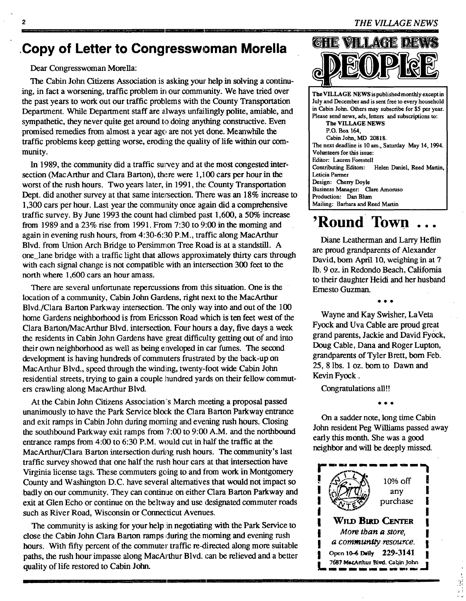## **,Copy of Letter to Congresswoman Morella**

#### Dear Congresswoman Morella:

The Cabin John Citizens Association is asking your help in solving a continuing, in fact a worsening, traffic problem in our community. We have tried over the past years to work out our traffic problems with the County Transportation Deparmaent. While Department staff are always unfailingly polite, amiable, and sympathetic, they never quite get around to doing anything constructive. Even promised remedies from almost a year ago are not yet done. Meanwhile the traffic problems keep getting worse, eroding the quality of life within our community.

In 1989, the community did a traffic survey and at the most congested intersection (MacArthur and Clara Barton), there were 1,100 cars per hour in the worst of the rush hours. Two years later, in 1991, the County Transportation Dept. did another survey at that same intersection. There was an 18% increase to 1,300 cars per hour. Last year the community once again did a comprehensive traffic survey. By June 1993 the count had climbed past 1,600, a 50% increase from 1989 and a 23% rise from 1991. From 7:30 to 9:00 in the moming and again in evening rush hours, from 4:30-6:30 P.M., traffic along MacArthur Blvd. from Union Arch Bridge to Persimmon Tree Road is at a standstill. A one\_lane bridge with a traffic light that allows approximately thirty cars through with each signal change is not compatible with an intersection 300 feet to the north where 1,600 cars an hour amass.

There are several unfortunate repercussions from this situation. One is the location of a community, Cabin John Gardens, fight next to the MacArthur Blvd./Clara Barton Parkway intersection. The only way into and out of the 100 home Gardens neighborhood is from Ericsson Road which is ten feet west of the Clara Barton/MacArthur Blvd. intersection. Four hours a day, five days a week the residents in Cabin John Gardens have great difficulty getting out of and into their own neighborhood as well as being enveloped in car fumes. The second development is having hundreds of commuters frustrated by the back-up on MacArthur Blvd., speed through the windihag, twenty-foot wide Cabin John residential streets, trying to gain a couple hundred yards on their fellow commuters crawling along MacArthur Blvd.

At the Cabin John Citizens Association's March meeting a proposal passed unanimously to have the Park Service block the Clara Barton Parkway entrance and exit ramps in Cabin John during morning and evening rush hours. Closing the southbound Parkway exit ramps from 7:00 to 9:00 A.M. and the northbound entrance ramps from 4:00 to 6:30 P.M. would cut in half the traffic at the MacArthur/Clara Barton intersection during rush hours. The community's last traffic survey showed that one half the rush hour cars at that intersection have Virginia license tags. These commuters going to and from work in Montgomery County and Washington D.C. have several altematives that would not impact so badly on our community. They can continue on either Clara Barton Parkway and exit at Glen Echo or continue on the beltway and use designated commuter roads such as River Road, Wisconsin or Connecticut Avenues.

The community is asking for your help in negotiating with the Park Service to close the Cabin John Clara Barton ramps during the morning and evening rush hours. With fifty percent of the commuter traffic re-directed along more suitable paths, the rush hour impasse along MacArthur Blvd. can be relieved and a better quality of life restored to Cabin John.



**The** VILLAGE NEWS is published monthly except in July and December and **is sent** free to every household in Cabin John. Others may subscribe for \$5 per year. Please send news, ads, letters and subscriptions **to: The VILLAGE** NEWS P.O. Box 164, Cabin John, MD 20818. The next deadline is 10 am., Saturday May 14, 1994. Vohmteers for this **issue:**  Editor: Lauren **Forestell**  Contributing Editors: Helen Daniel, Reed Martin Leticia Panner **Design:** Cherry Doyle **Business Manager: Clare** Amoruso Production: Dan Blum Mailing: Barbara and Reed Martin

## **'Round Town.**

Diane Leatherman and Larry Heflin are proud grandparents of Alexander David, born April 10, weighing in at 7 lb. 9 oz. in Redondo Beach, California to their daughter Heidi and her husband Ernesto Guzman.

• • •

Wayne and Kay Swisher, LaVeta Fyock and Uva Cable are proud great grand parents, Jackie and David Fyock, Doug Cable, Dana and Roger Lupton, grandparents of Tyler Brett, born Feb. 25, 8 lbs. 1 oz. bom to Dawn and Kevin Fyock.

Congratulations all!!

• • •

On a sadder note, long time Cabin John resident Peg Williams passed away early this month. She was a good neighbor and will be deeply missed.

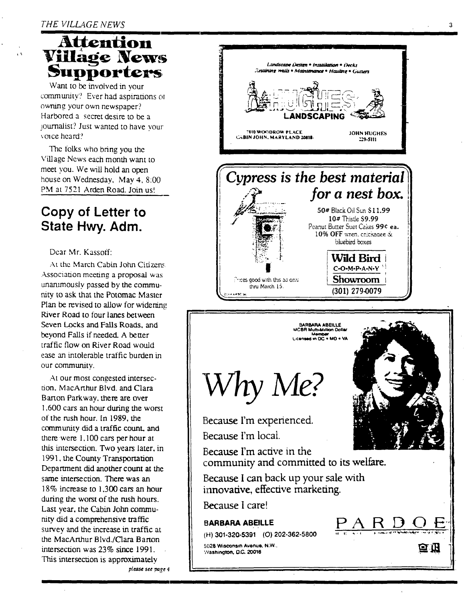#### THE VILLAGE NEWS

ī3

## Attention **Village News** iupporters

Want to be involved in your community? Ever had aspirations of owning your own newspaper? Harbored a secret desire to be a journalist? Just wanted to have your voice heard?

The folks who bring you the Village News each month want to meet you. We will hold an open house on Wednesday, May 4, 8:00 PM at 7521 Arden Road, Join us!

## Copy of Letter to State Hwy. Adm.

#### Dear Mr. Kassoff:

At the March Cabin John Citizens Association meeting a proposal was unanimously passed by the community to ask that the Potomac Master Plan be revised to allow for widering River Road to four lanes between Seven Locks and Falls Roads, and beyond Falls if needed. A better traffic flow on River Road would ease an intolerable traffic burden in our community.

At our most congested intersection, MacArthur Blvd. and Clara Barton Parkway, there are over 1,600 cars an hour during the worst of the rush hour. In 1989, the community did a traffic count, and there were 1,100 cars per hour at this intersection. Two years later, in 1991, the County Transportation Department did another count at the same intersection. There was an 18% increase to 1.300 cars an hour during the worst of the rush hours. Last year, the Cabin John community did a comprehensive traffic survey and the increase in traffic at the MacArthur Blvd./Clara Barton intersection was 23% since 1991. This intersection is approximately please see page 4



 $\mathbf{a}$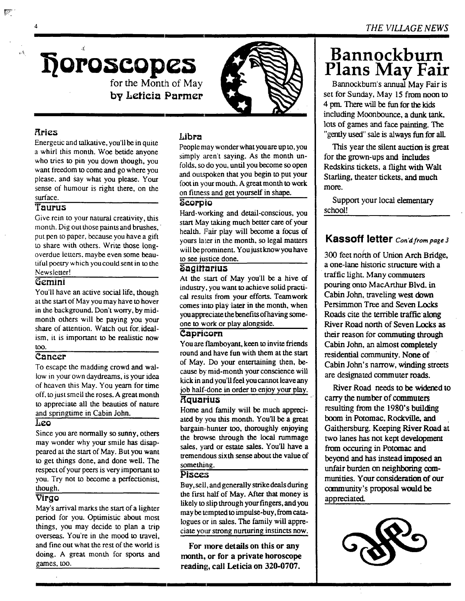

**by heticia Parmer** 

#### **Rries**

्क

 $\mathcal{L}_{\mathcal{X}}$ 

Energeuc and talkative, you'll be in quite a whirl this month. Woe betide anyone who tries to pin you down though, you want freedom to come and go where you please, and say what you please. Your sense of humour is right there, on the surface.

#### **Taurus**

Give rein to your natural creativity, this month. Dig out those paints and brushes, put pen to paper, because you have a gift to share with others. Write those longoverdue letters, maybe even some beautiful poetry which you could sent in to the Newsleuer!

#### Gemini

You'll have an active social life, though at the start of May you may have to hover in the background. Don't worry, by midmonth others will be paying you your share of attention. Watch out for. idealism, it is important to be realistic now too.

#### $\overline{\text{Cancer}}$

To escape the madding crowd and wallow in your own daydreams, is your idea of heaven this May. You yearn for time off, to just smell the roses. A great month to appreciate all the beauties of nature and springtime in Cabin John.

#### $\overline{I_1$ eo

Since you are normally so sunny, others may wonder why your smile has disappeared at the start of May. But you want to get things done, and done well. The respect of your peers is very important to you. Try not to become a perfectionist, though.

#### **Virgo**

May's arrival marks the start of a lighter period for you. Optimistic about most things, you may decide to plan a trip overseas. You're in the mood to travel, and fine out what the rest of the world is doing. A great month for sports and games, too.

#### **Libra**

People may wonder what you are up to, you simply aren't saying. As the month unfolds, so do you, until you become so open and outspoken that you begin to put your foot in your mouth. A great month to work on fitness and get yourself in shape.

#### **Scorpio**

Hard-working and detail-conscious, you start May taking much better care of your health. Fair play will become a focus of yours later in the month, so legal matters will be prominent. You just know you have to see justice done.

#### **agi ariua**

At the start of May you'll be a hive of industry, you want to achieve solid practical results from your efforts. Teamwork comes into piay later in the month, when you appreciate the benefits of having someone to work or play alongside.

#### **Capricorn**

You are flamboyant, keen to invite friends round and have fun with them **at** the start of May. Do your entertaining then, because by mid-month your conscience will kick in and you'll feel you cannot leave any job half-done in order to enjoy your play.

#### **Aquarius**

Home and family will be much appreciated by you this month. You'll be a great bargain-hunter too, thoroughly enjoying the browse through the local rummage sales, yard or estate sales. You'll have a tremendous sixth sense about the value of something.

#### Pisce:s

Buy, sell, and generally strike deals during the first half of May. After that money is likely to slip through your fingers, and you may be tempted to impulse-buy, from catalogues or in sales. The family will appreciate your strong nurturing instincts now.

**For more details on this or any month, or for a private horoscope reading, call Leticia on 320-0707.** 

## **Bannockburn Plans May Fair**

Bannockbum's annual May Fair is set for Sunday, May 15 from noon to 4 pm. There will be fun for the kids including Moonbounce, a dunk tank, lots of games and face painting. The "gently used" sale is always fun for all.

This year the silent auction is great for the grown-ups and includes Redskins tickets, a flight with Walt Starling, theater tickets, and much more.

Support your local elementary school!

#### **Kassoff letter** *Con'd from page 3*

300 feet north of Union Arch Bridge, a one-lane historic structure with a traffic light. Many commuters pouring onto MacArthur Blvd. in Cabin John, traveling west down Persimmon Tree and Seven Locks Roads cite the terrible traffic along River Road north of Seven Locks as their reason for commuting through Cabin John, an almost completely residential community. None of Cabin John's narrow, winding streets are designated commuter roads.

River Road needs to be widened to carry the number of commuters resulting from the 1980's building boom in Potomac, Rockville, and Gaithersburg. Keeping River Road **at**  two lanes has not kept development from occuring in Potomac and beyond and has instead imposed an unfair burden on neighboring communities. Your consideration of our community's proposal would be appreciated.

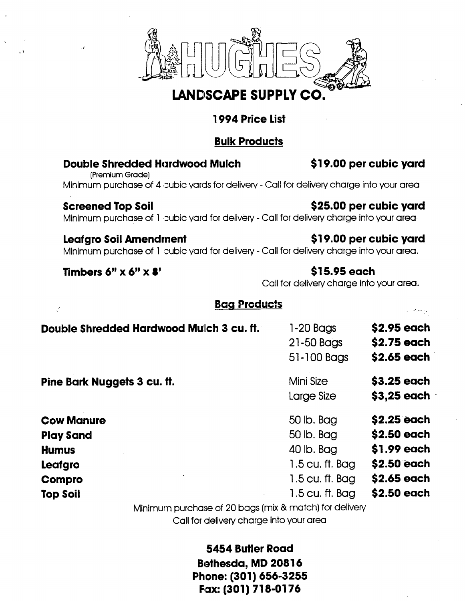

## **LANDSCAPE SUPPLY CO.**

## **1994 Price List**

## **Bulk Products**

#### Double Shredded Hardwood Mulch \$19.00 per cubic **yard**

(Premium Grade) Minimum purchase of 4 cubic yards for delivery - Call for delivery charge into your area

## Screened Top Soil **Screened Top Solution Contract Sanction** S25.00 per cubic yard

v.

Minimum purchase of 1 cubic yard for delivery - Call for delivery charge into your area

#### Leafgro Soil Amendment **19.00 per cubic yard**

Minimum purchase of 1 cubic yard for delivery - Call for delivery charge into your area.

#### **Timbers 6" X 6" X 8'** \$15.95 each

Call for delivery charge into your area.

### **Bag Products**

| Double Shredded Hardwood Mulch 3 cu. ft.               | 1-20 Bags<br>21-50 Bags<br>51-100 Bags | \$2.95 each<br>\$2.75 each<br>\$2.65 each |
|--------------------------------------------------------|----------------------------------------|-------------------------------------------|
| Pine Bark Nuggets 3 cu. ft.                            | Mini Size<br>Large Size                | \$3.25 each<br>$$3,25$ each               |
| <b>Cow Manure</b>                                      | 50 lb. Bag                             | \$2.25 each                               |
| <b>Play Sand</b>                                       | 50 lb. Bag                             | \$2.50 each                               |
| <b>Humus</b>                                           | 40 lb. Bag                             | \$1.99 each                               |
| Leafgro                                                | 1.5 cu. ft. Bag                        | \$2.50 each                               |
| <b>Compro</b>                                          | 1.5 cu. ft. Bag                        | \$2.65 each                               |
| <b>Top Soil</b>                                        | 1.5 cu. ft. Bag                        | \$2.50 each                               |
| Minimum purchase of 20 bags (mix & match) for delivery |                                        |                                           |

Call for delivery charge into your area

**5454 Butler Road Bethesda, MD 20816 Phone: (301) 656-3255**  Fax: (301) 718-0176

., '.'\_,--.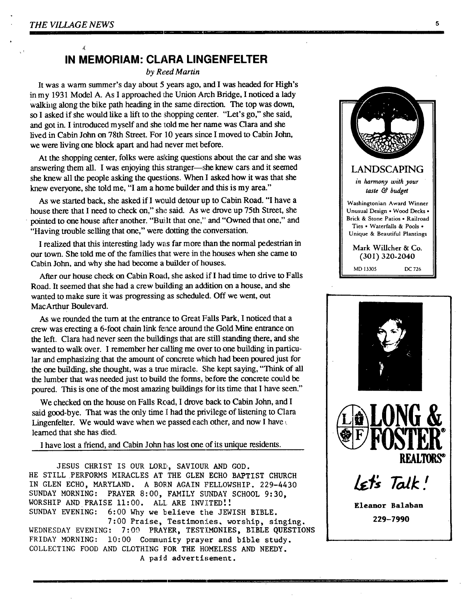$\mathcal{L}$ 

### **IN MEMORIAM: CLARA LINGENFELTER**

*by Reed Martin* 

It was a warm summer's day about 5 years ago, and I was headed for High's in my 1931 Model A. As I approached the Union Arch Bridge, I noticed a lady walking along the bike path heading in the same direction. The top was down, so I asked if she would like a lift to the shopping center. "Let's go," she said, and got in. I introduced myself and she told me her name was Clara and she lived in Cabin John on 78th Street. For 10 years since I moved to Cabin John, we were living one block apart and had never met before.

At the shopping center, folks were asking questions about the car and she was answering them all. I was enjoying this stranger—she knew cars and it seemed she knew all the people asking the questions. When I asked how it was that she knew everyone, she told me, "I am a home builder and this is my area."

As we started back, she asked if I would detour up to Cabin Road. "I have a house there that I need to check on," she said. As we drove up 75th Street, she pointed to one house after another. "Built that one," and "Owned that one," and "Having trouble selling that one," were dotting the conversation.

I realized that this interesting lady was far more than the normal pedestrian in our town. She told me of the families that were in the houses when she came to Cabin John, and why she had become a builder of houses.

After our house check on Cabin Road, she asked if I had time to drive to Falls Road. It seemed that she had a crew building an addition on a house, and she wanted to make sure it was progressing as scheduled. Off we went, out MacArthur Boulevard.

As we rounded the turn at the entrance to Great Falls Park, I noticed that a crew was erecting a 6-foot chain link fence around the Gold Mine entrance on the left. Clara had never seen the buildings that are still standing there, and she wanted to walk over. I remember her calling me over to one building in particular and emphasizing that the amount of concrete which had been poured just for the one building, she thought, was a true miracle. She kept saying, "Think of all the lumber that was needed just to build the forms, before the concrete could be poured. This is one of the most amazing buildings for its time that I have seen."

We checked on the house on Falls Road, I drove back to Cabin John, and I said good-bye. That was the only time I had the privilege of listening to Clara Lingenfelter. We would wave when we passed each other, and now I have learned that she has died.

I have lost a friend, and Cabin John has lost one of its unique residents.

JESUS CHRIST IS OUR LORD, SAVIOUR AND GOD. HE STILL PERFORMS MIRACLES AT THE GLEN ECHO BAPTIST CHURCH IN GLEN ECHO, MARYLAND. A BORN AGAIN FELLOWSHIP. 229-4430 SUNDAY MORNING: PRAYER 8:00, FAMILY SUNDAY SCHOOL 9:30, WORSHIP AND PRAISE 11:00. ALL ARE INVITED!! SUNDAY EVENING: 6:00 Why we believe the JEWISH BIBLE. 7:00 Praise, Testimonies. worship, singing. WEDNESDAY EVENING: 7:00 PRAYER, TESTIMONIES, BIBLE QUESTIONS FRIDAY MORNING: 10:00 Community prayer and bible study. COLLECTING FOOD AND CLOTHING FOR THE HOMELESS AND NEEDY. A paid advertisement.





**229-7990**